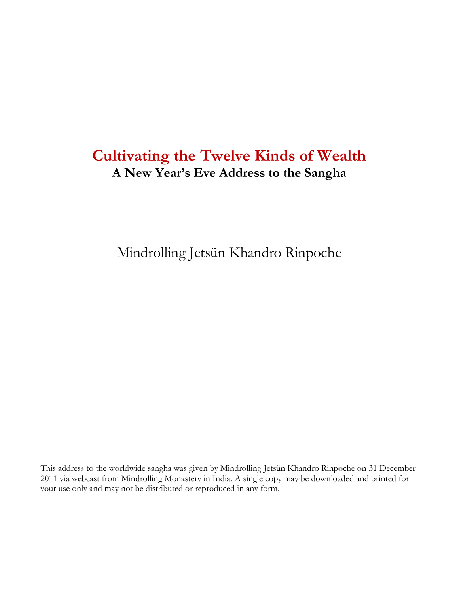# **Cultivating the Twelve Kinds of Wealth A New Year's Eve Address to the Sangha**

Mindrolling Jetsün Khandro Rinpoche

This address to the worldwide sangha was given by Mindrolling Jetsün Khandro Rinpoche on 31 December 2011 via webcast from Mindrolling Monastery in India. A single copy may be downloaded and printed for your use only and may not be distributed or reproduced in any form.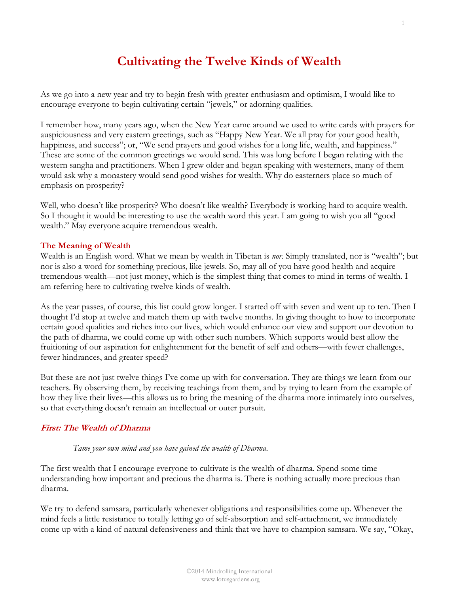## **Cultivating the Twelve Kinds of Wealth**

As we go into a new year and try to begin fresh with greater enthusiasm and optimism, I would like to encourage everyone to begin cultivating certain "jewels," or adorning qualities.

I remember how, many years ago, when the New Year came around we used to write cards with prayers for auspiciousness and very eastern greetings, such as "Happy New Year. We all pray for your good health, happiness, and success"; or, "We send prayers and good wishes for a long life, wealth, and happiness." These are some of the common greetings we would send. This was long before I began relating with the western sangha and practitioners. When I grew older and began speaking with westerners, many of them would ask why a monastery would send good wishes for wealth. Why do easterners place so much of emphasis on prosperity?

Well, who doesn't like prosperity? Who doesn't like wealth? Everybody is working hard to acquire wealth. So I thought it would be interesting to use the wealth word this year. I am going to wish you all "good wealth." May everyone acquire tremendous wealth.

#### **The Meaning of Wealth**

Wealth is an English word. What we mean by wealth in Tibetan is *nor*. Simply translated, nor is "wealth"; but nor is also a word for something precious, like jewels. So, may all of you have good health and acquire tremendous wealth—not just money, which is the simplest thing that comes to mind in terms of wealth. I am referring here to cultivating twelve kinds of wealth.

As the year passes, of course, this list could grow longer. I started off with seven and went up to ten. Then I thought I'd stop at twelve and match them up with twelve months. In giving thought to how to incorporate certain good qualities and riches into our lives, which would enhance our view and support our devotion to the path of dharma, we could come up with other such numbers. Which supports would best allow the fruitioning of our aspiration for enlightenment for the benefit of self and others—with fewer challenges, fewer hindrances, and greater speed?

But these are not just twelve things I've come up with for conversation. They are things we learn from our teachers. By observing them, by receiving teachings from them, and by trying to learn from the example of how they live their lives—this allows us to bring the meaning of the dharma more intimately into ourselves, so that everything doesn't remain an intellectual or outer pursuit.

#### **First: The Wealth of Dharma**

#### *Tame your own mind and you have gained the wealth of Dharma.*

The first wealth that I encourage everyone to cultivate is the wealth of dharma. Spend some time understanding how important and precious the dharma is. There is nothing actually more precious than dharma.

We try to defend samsara, particularly whenever obligations and responsibilities come up. Whenever the mind feels a little resistance to totally letting go of self-absorption and self-attachment, we immediately come up with a kind of natural defensiveness and think that we have to champion samsara. We say, "Okay,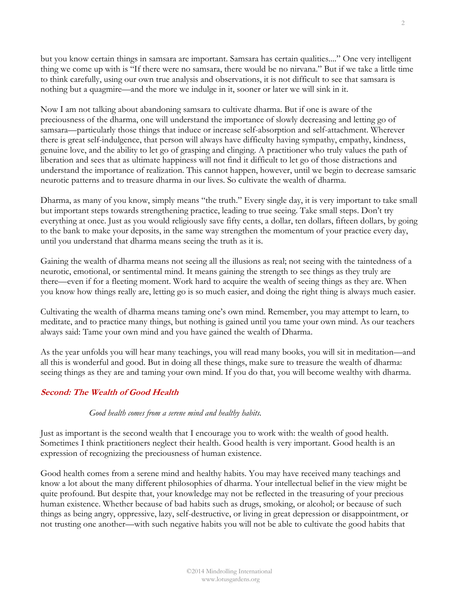but you know certain things in samsara are important. Samsara has certain qualities...." One very intelligent thing we come up with is "If there were no samsara, there would be no nirvana." But if we take a little time to think carefully, using our own true analysis and observations, it is not difficult to see that samsara is nothing but a quagmire—and the more we indulge in it, sooner or later we will sink in it.

Now I am not talking about abandoning samsara to cultivate dharma. But if one is aware of the preciousness of the dharma, one will understand the importance of slowly decreasing and letting go of samsara—particularly those things that induce or increase self-absorption and self-attachment. Wherever there is great self-indulgence, that person will always have difficulty having sympathy, empathy, kindness, genuine love, and the ability to let go of grasping and clinging. A practitioner who truly values the path of liberation and sees that as ultimate happiness will not find it difficult to let go of those distractions and understand the importance of realization. This cannot happen, however, until we begin to decrease samsaric neurotic patterns and to treasure dharma in our lives. So cultivate the wealth of dharma.

Dharma, as many of you know, simply means "the truth." Every single day, it is very important to take small but important steps towards strengthening practice, leading to true seeing. Take small steps. Don't try everything at once. Just as you would religiously save fifty cents, a dollar, ten dollars, fifteen dollars, by going to the bank to make your deposits, in the same way strengthen the momentum of your practice every day, until you understand that dharma means seeing the truth as it is.

Gaining the wealth of dharma means not seeing all the illusions as real; not seeing with the taintedness of a neurotic, emotional, or sentimental mind. It means gaining the strength to see things as they truly are there—even if for a fleeting moment. Work hard to acquire the wealth of seeing things as they are. When you know how things really are, letting go is so much easier, and doing the right thing is always much easier.

Cultivating the wealth of dharma means taming one's own mind. Remember, you may attempt to learn, to meditate, and to practice many things, but nothing is gained until you tame your own mind. As our teachers always said: Tame your own mind and you have gained the wealth of Dharma.

As the year unfolds you will hear many teachings, you will read many books, you will sit in meditation—and all this is wonderful and good. But in doing all these things, make sure to treasure the wealth of dharma: seeing things as they are and taming your own mind. If you do that, you will become wealthy with dharma.

## **Second: The Wealth of Good Health**

#### *Good health comes from a serene mind and healthy habits.*

Just as important is the second wealth that I encourage you to work with: the wealth of good health. Sometimes I think practitioners neglect their health. Good health is very important. Good health is an expression of recognizing the preciousness of human existence.

Good health comes from a serene mind and healthy habits. You may have received many teachings and know a lot about the many different philosophies of dharma. Your intellectual belief in the view might be quite profound. But despite that, your knowledge may not be reflected in the treasuring of your precious human existence. Whether because of bad habits such as drugs, smoking, or alcohol; or because of such things as being angry, oppressive, lazy, self-destructive, or living in great depression or disappointment, or not trusting one another—with such negative habits you will not be able to cultivate the good habits that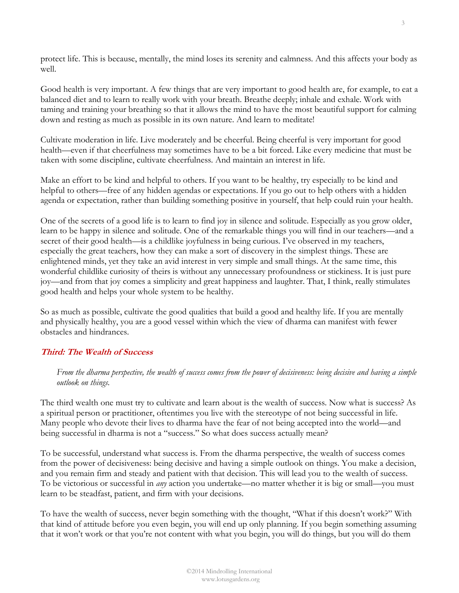protect life. This is because, mentally, the mind loses its serenity and calmness. And this affects your body as well.

Good health is very important. A few things that are very important to good health are, for example, to eat a balanced diet and to learn to really work with your breath. Breathe deeply; inhale and exhale. Work with taming and training your breathing so that it allows the mind to have the most beautiful support for calming down and resting as much as possible in its own nature. And learn to meditate!

Cultivate moderation in life. Live moderately and be cheerful. Being cheerful is very important for good health—even if that cheerfulness may sometimes have to be a bit forced. Like every medicine that must be taken with some discipline, cultivate cheerfulness. And maintain an interest in life.

Make an effort to be kind and helpful to others. If you want to be healthy, try especially to be kind and helpful to others—free of any hidden agendas or expectations. If you go out to help others with a hidden agenda or expectation, rather than building something positive in yourself, that help could ruin your health.

One of the secrets of a good life is to learn to find joy in silence and solitude. Especially as you grow older, learn to be happy in silence and solitude. One of the remarkable things you will find in our teachers—and a secret of their good health—is a childlike joyfulness in being curious. I've observed in my teachers, especially the great teachers, how they can make a sort of discovery in the simplest things. These are enlightened minds, yet they take an avid interest in very simple and small things. At the same time, this wonderful childlike curiosity of theirs is without any unnecessary profoundness or stickiness. It is just pure joy—and from that joy comes a simplicity and great happiness and laughter. That, I think, really stimulates good health and helps your whole system to be healthy.

So as much as possible, cultivate the good qualities that build a good and healthy life. If you are mentally and physically healthy, you are a good vessel within which the view of dharma can manifest with fewer obstacles and hindrances.

## **Third: The Wealth of Success**

*From the dharma perspective, the wealth of success comes from the power of decisiveness: being decisive and having a simple outlook on things.*

The third wealth one must try to cultivate and learn about is the wealth of success. Now what is success? As a spiritual person or practitioner, oftentimes you live with the stereotype of not being successful in life. Many people who devote their lives to dharma have the fear of not being accepted into the world—and being successful in dharma is not a "success." So what does success actually mean?

To be successful, understand what success is. From the dharma perspective, the wealth of success comes from the power of decisiveness: being decisive and having a simple outlook on things. You make a decision, and you remain firm and steady and patient with that decision. This will lead you to the wealth of success. To be victorious or successful in *any* action you undertake—no matter whether it is big or small—you must learn to be steadfast, patient, and firm with your decisions.

To have the wealth of success, never begin something with the thought, "What if this doesn't work?" With that kind of attitude before you even begin, you will end up only planning. If you begin something assuming that it won't work or that you're not content with what you begin, you will do things, but you will do them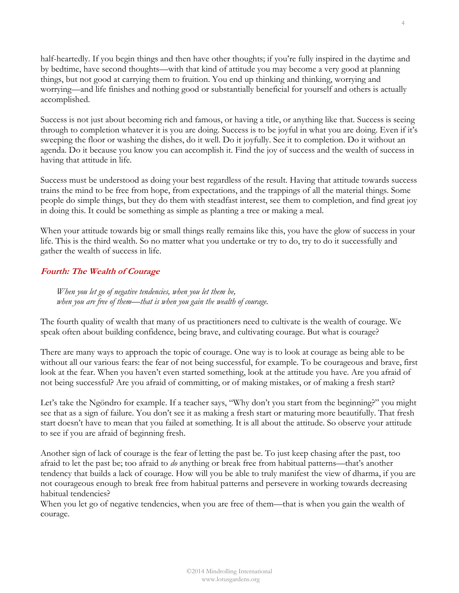half-heartedly. If you begin things and then have other thoughts; if you're fully inspired in the daytime and by bedtime, have second thoughts—with that kind of attitude you may become a very good at planning things, but not good at carrying them to fruition. You end up thinking and thinking, worrying and worrying—and life finishes and nothing good or substantially beneficial for yourself and others is actually accomplished.

Success is not just about becoming rich and famous, or having a title, or anything like that. Success is seeing through to completion whatever it is you are doing. Success is to be joyful in what you are doing. Even if it's sweeping the floor or washing the dishes, do it well. Do it joyfully. See it to completion. Do it without an agenda. Do it because you know you can accomplish it. Find the joy of success and the wealth of success in having that attitude in life.

Success must be understood as doing your best regardless of the result. Having that attitude towards success trains the mind to be free from hope, from expectations, and the trappings of all the material things. Some people do simple things, but they do them with steadfast interest, see them to completion, and find great joy in doing this. It could be something as simple as planting a tree or making a meal.

When your attitude towards big or small things really remains like this, you have the glow of success in your life. This is the third wealth. So no matter what you undertake or try to do, try to do it successfully and gather the wealth of success in life.

## **Fourth: The Wealth of Courage**

*When you let go of negative tendencies, when you let them be, when you are free of them—that is when you gain the wealth of courage.* 

The fourth quality of wealth that many of us practitioners need to cultivate is the wealth of courage. We speak often about building confidence, being brave, and cultivating courage. But what is courage?

There are many ways to approach the topic of courage. One way is to look at courage as being able to be without all our various fears: the fear of not being successful, for example. To be courageous and brave, first look at the fear. When you haven't even started something, look at the attitude you have. Are you afraid of not being successful? Are you afraid of committing, or of making mistakes, or of making a fresh start?

Let's take the Ngöndro for example. If a teacher says, "Why don't you start from the beginning?" you might see that as a sign of failure. You don't see it as making a fresh start or maturing more beautifully. That fresh start doesn't have to mean that you failed at something. It is all about the attitude. So observe your attitude to see if you are afraid of beginning fresh.

Another sign of lack of courage is the fear of letting the past be. To just keep chasing after the past, too afraid to let the past be; too afraid to *do* anything or break free from habitual patterns—that's another tendency that builds a lack of courage. How will you be able to truly manifest the view of dharma, if you are not courageous enough to break free from habitual patterns and persevere in working towards decreasing habitual tendencies?

When you let go of negative tendencies, when you are free of them—that is when you gain the wealth of courage.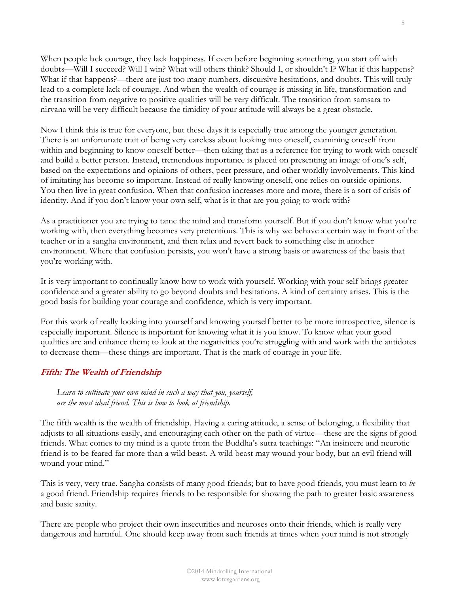When people lack courage, they lack happiness. If even before beginning something, you start off with doubts—Will I succeed? Will I win? What will others think? Should I, or shouldn't I? What if this happens? What if that happens?—there are just too many numbers, discursive hesitations, and doubts. This will truly lead to a complete lack of courage. And when the wealth of courage is missing in life, transformation and the transition from negative to positive qualities will be very difficult. The transition from samsara to nirvana will be very difficult because the timidity of your attitude will always be a great obstacle.

Now I think this is true for everyone, but these days it is especially true among the younger generation. There is an unfortunate trait of being very careless about looking into oneself, examining oneself from within and beginning to know oneself better—then taking that as a reference for trying to work with oneself and build a better person. Instead, tremendous importance is placed on presenting an image of one's self, based on the expectations and opinions of others, peer pressure, and other worldly involvements. This kind of imitating has become so important. Instead of really knowing oneself, one relies on outside opinions. You then live in great confusion. When that confusion increases more and more, there is a sort of crisis of identity. And if you don't know your own self, what is it that are you going to work with?

As a practitioner you are trying to tame the mind and transform yourself. But if you don't know what you're working with, then everything becomes very pretentious. This is why we behave a certain way in front of the teacher or in a sangha environment, and then relax and revert back to something else in another environment. Where that confusion persists, you won't have a strong basis or awareness of the basis that you're working with.

It is very important to continually know how to work with yourself. Working with your self brings greater confidence and a greater ability to go beyond doubts and hesitations. A kind of certainty arises. This is the good basis for building your courage and confidence, which is very important.

For this work of really looking into yourself and knowing yourself better to be more introspective, silence is especially important. Silence is important for knowing what it is you know. To know what your good qualities are and enhance them; to look at the negativities you're struggling with and work with the antidotes to decrease them—these things are important. That is the mark of courage in your life.

## **Fifth: The Wealth of Friendship**

*Learn to cultivate your own mind in such a way that you, yourself, are the most ideal friend. This is how to look at friendship.*

The fifth wealth is the wealth of friendship. Having a caring attitude, a sense of belonging, a flexibility that adjusts to all situations easily, and encouraging each other on the path of virtue—these are the signs of good friends. What comes to my mind is a quote from the Buddha's sutra teachings: "An insincere and neurotic friend is to be feared far more than a wild beast. A wild beast may wound your body, but an evil friend will wound your mind."

This is very, very true. Sangha consists of many good friends; but to have good friends, you must learn to *be* a good friend. Friendship requires friends to be responsible for showing the path to greater basic awareness and basic sanity.

There are people who project their own insecurities and neuroses onto their friends, which is really very dangerous and harmful. One should keep away from such friends at times when your mind is not strongly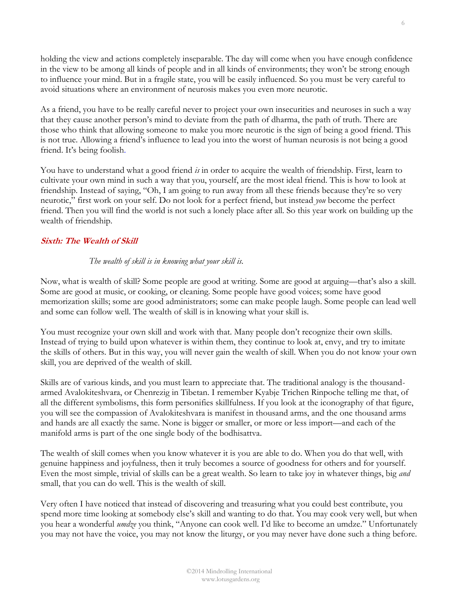holding the view and actions completely inseparable. The day will come when you have enough confidence in the view to be among all kinds of people and in all kinds of environments; they won't be strong enough to influence your mind. But in a fragile state, you will be easily influenced. So you must be very careful to avoid situations where an environment of neurosis makes you even more neurotic.

As a friend, you have to be really careful never to project your own insecurities and neuroses in such a way that they cause another person's mind to deviate from the path of dharma, the path of truth. There are those who think that allowing someone to make you more neurotic is the sign of being a good friend. This is not true. Allowing a friend's influence to lead you into the worst of human neurosis is not being a good friend. It's being foolish.

You have to understand what a good friend *is* in order to acquire the wealth of friendship. First, learn to cultivate your own mind in such a way that you, yourself, are the most ideal friend. This is how to look at friendship. Instead of saying, "Oh, I am going to run away from all these friends because they're so very neurotic," first work on your self. Do not look for a perfect friend, but instead *you* become the perfect friend. Then you will find the world is not such a lonely place after all. So this year work on building up the wealth of friendship.

#### **Sixth: The Wealth of Skill**

#### *The wealth of skill is in knowing what your skill is.*

Now, what is wealth of skill? Some people are good at writing. Some are good at arguing—that's also a skill. Some are good at music, or cooking, or cleaning. Some people have good voices; some have good memorization skills; some are good administrators; some can make people laugh. Some people can lead well and some can follow well. The wealth of skill is in knowing what your skill is.

You must recognize your own skill and work with that. Many people don't recognize their own skills. Instead of trying to build upon whatever is within them, they continue to look at, envy, and try to imitate the skills of others. But in this way, you will never gain the wealth of skill. When you do not know your own skill, you are deprived of the wealth of skill.

Skills are of various kinds, and you must learn to appreciate that. The traditional analogy is the thousandarmed Avalokiteshvara, or Chenrezig in Tibetan. I remember Kyabje Trichen Rinpoche telling me that, of all the different symbolisms, this form personifies skillfulness. If you look at the iconography of that figure, you will see the compassion of Avalokiteshvara is manifest in thousand arms, and the one thousand arms and hands are all exactly the same. None is bigger or smaller, or more or less import—and each of the manifold arms is part of the one single body of the bodhisattva.

The wealth of skill comes when you know whatever it is you are able to do. When you do that well, with genuine happiness and joyfulness, then it truly becomes a source of goodness for others and for yourself. Even the most simple, trivial of skills can be a great wealth. So learn to take joy in whatever things, big *and* small, that you can do well. This is the wealth of skill.

Very often I have noticed that instead of discovering and treasuring what you could best contribute, you spend more time looking at somebody else's skill and wanting to do that. You may cook very well, but when you hear a wonderful *umdze* you think, "Anyone can cook well. I'd like to become an umdze." Unfortunately you may not have the voice, you may not know the liturgy, or you may never have done such a thing before.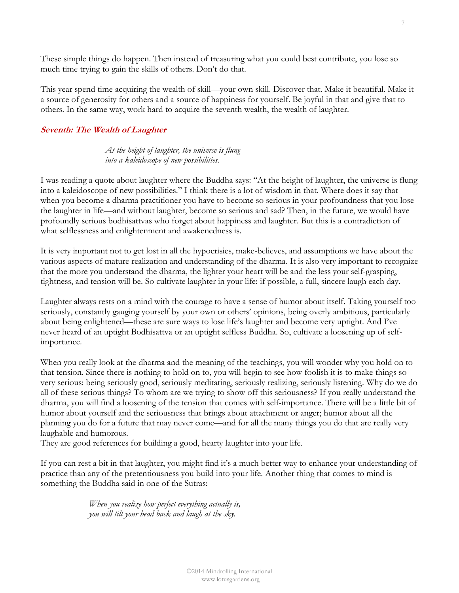These simple things do happen. Then instead of treasuring what you could best contribute, you lose so much time trying to gain the skills of others. Don't do that.

This year spend time acquiring the wealth of skill—your own skill. Discover that. Make it beautiful. Make it a source of generosity for others and a source of happiness for yourself. Be joyful in that and give that to others. In the same way, work hard to acquire the seventh wealth, the wealth of laughter.

#### **Seventh: The Wealth of Laughter**

*At the height of laughter, the universe is flung into a kaleidoscope of new possibilities.* 

I was reading a quote about laughter where the Buddha says: "At the height of laughter, the universe is flung into a kaleidoscope of new possibilities." I think there is a lot of wisdom in that. Where does it say that when you become a dharma practitioner you have to become so serious in your profoundness that you lose the laughter in life—and without laughter, become so serious and sad? Then, in the future, we would have profoundly serious bodhisattvas who forget about happiness and laughter. But this is a contradiction of what selflessness and enlightenment and awakenedness is.

It is very important not to get lost in all the hypocrisies, make-believes, and assumptions we have about the various aspects of mature realization and understanding of the dharma. It is also very important to recognize that the more you understand the dharma, the lighter your heart will be and the less your self-grasping, tightness, and tension will be. So cultivate laughter in your life: if possible, a full, sincere laugh each day.

Laughter always rests on a mind with the courage to have a sense of humor about itself. Taking yourself too seriously, constantly gauging yourself by your own or others' opinions, being overly ambitious, particularly about being enlightened—these are sure ways to lose life's laughter and become very uptight. And I've never heard of an uptight Bodhisattva or an uptight selfless Buddha. So, cultivate a loosening up of selfimportance.

When you really look at the dharma and the meaning of the teachings, you will wonder why you hold on to that tension. Since there is nothing to hold on to, you will begin to see how foolish it is to make things so very serious: being seriously good, seriously meditating, seriously realizing, seriously listening. Why do we do all of these serious things? To whom are we trying to show off this seriousness? If you really understand the dharma, you will find a loosening of the tension that comes with self-importance. There will be a little bit of humor about yourself and the seriousness that brings about attachment or anger; humor about all the planning you do for a future that may never come—and for all the many things you do that are really very laughable and humorous.

They are good references for building a good, hearty laughter into your life.

If you can rest a bit in that laughter, you might find it's a much better way to enhance your understanding of practice than any of the pretentiousness you build into your life. Another thing that comes to mind is something the Buddha said in one of the Sutras:

> *When you realize how perfect everything actually is, you will tilt your head back and laugh at the sky.*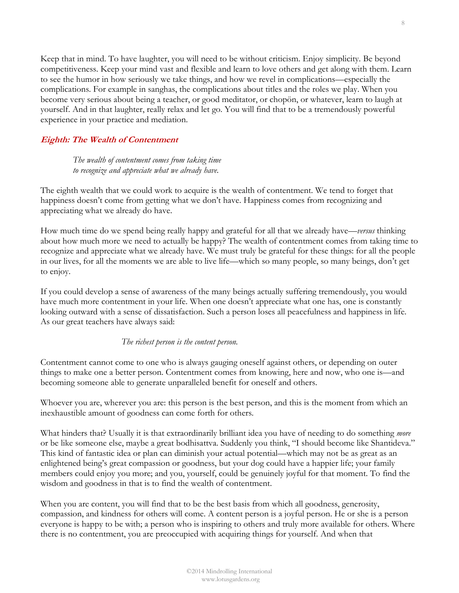Keep that in mind. To have laughter, you will need to be without criticism. Enjoy simplicity. Be beyond competitiveness. Keep your mind vast and flexible and learn to love others and get along with them. Learn to see the humor in how seriously we take things, and how we revel in complications—especially the complications. For example in sanghas, the complications about titles and the roles we play. When you become very serious about being a teacher, or good meditator, or chopön, or whatever, learn to laugh at yourself. And in that laughter, really relax and let go. You will find that to be a tremendously powerful experience in your practice and mediation.

#### **Eighth: The Wealth of Contentment**

*The wealth of contentment comes from taking time to recognize and appreciate what we already have.*

The eighth wealth that we could work to acquire is the wealth of contentment. We tend to forget that happiness doesn't come from getting what we don't have. Happiness comes from recognizing and appreciating what we already do have.

How much time do we spend being really happy and grateful for all that we already have—*versus* thinking about how much more we need to actually be happy? The wealth of contentment comes from taking time to recognize and appreciate what we already have. We must truly be grateful for these things: for all the people in our lives, for all the moments we are able to live life—which so many people, so many beings, don't get to enjoy.

If you could develop a sense of awareness of the many beings actually suffering tremendously, you would have much more contentment in your life. When one doesn't appreciate what one has, one is constantly looking outward with a sense of dissatisfaction. Such a person loses all peacefulness and happiness in life. As our great teachers have always said:

#### *The richest person is the content person.*

Contentment cannot come to one who is always gauging oneself against others, or depending on outer things to make one a better person. Contentment comes from knowing, here and now, who one is—and becoming someone able to generate unparalleled benefit for oneself and others.

Whoever you are, wherever you are: this person is the best person, and this is the moment from which an inexhaustible amount of goodness can come forth for others.

What hinders that? Usually it is that extraordinarily brilliant idea you have of needing to do something *more* or be like someone else, maybe a great bodhisattva. Suddenly you think, "I should become like Shantideva." This kind of fantastic idea or plan can diminish your actual potential—which may not be as great as an enlightened being's great compassion or goodness, but your dog could have a happier life; your family members could enjoy you more; and you, yourself, could be genuinely joyful for that moment. To find the wisdom and goodness in that is to find the wealth of contentment.

When you are content, you will find that to be the best basis from which all goodness, generosity, compassion, and kindness for others will come. A content person is a joyful person. He or she is a person everyone is happy to be with; a person who is inspiring to others and truly more available for others. Where there is no contentment, you are preoccupied with acquiring things for yourself. And when that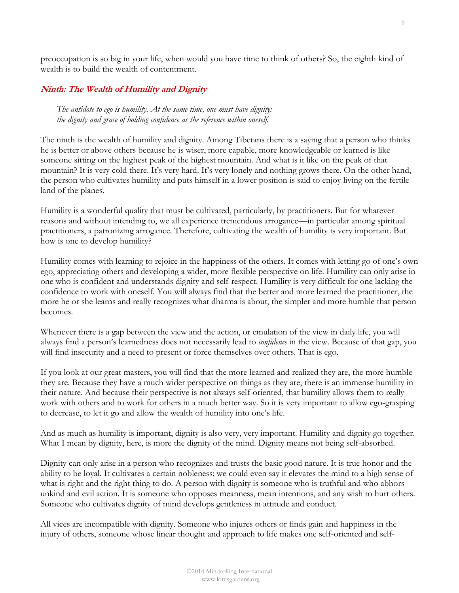preoccupation is so big in your life, when would you have time to think of others? So, the eighth kind of wealth is to build the wealth of contentment.

## **Ninth: The Wealth of Humility and Dignity**

*The antidote to ego is humility. At the same time, one must have dignity: the dignity and grace of holding confidence as the reference within oneself.* 

The ninth is the wealth of humility and dignity. Among Tibetans there is a saying that a person who thinks he is better or above others because he is wiser, more capable, more knowledgeable or learned is like someone sitting on the highest peak of the highest mountain. And what is it like on the peak of that mountain? It is very cold there. It's very hard. It's very lonely and nothing grows there. On the other hand, the person who cultivates humility and puts himself in a lower position is said to enjoy living on the fertile land of the planes.

Humility is a wonderful quality that must be cultivated, particularly, by practitioners. But for whatever reasons and without intending to, we all experience tremendous arrogance—in particular among spiritual practitioners, a patronizing arrogance. Therefore, cultivating the wealth of humility is very important. But how is one to develop humility?

Humility comes with learning to rejoice in the happiness of the others. It comes with letting go of one's own ego, appreciating others and developing a wider, more flexible perspective on life. Humility can only arise in one who is confident and understands dignity and self-respect. Humility is very difficult for one lacking the confidence to work with oneself. You will always find that the better and more learned the practitioner, the more he or she learns and really recognizes what dharma is about, the simpler and more humble that person becomes.

Whenever there is a gap between the view and the action, or emulation of the view in daily life, you will always find a person's learnedness does not necessarily lead to *confidence* in the view. Because of that gap, you will find insecurity and a need to present or force themselves over others. That is ego.

If you look at our great masters, you will find that the more learned and realized they are, the more humble they are. Because they have a much wider perspective on things as they are, there is an immense humility in their nature. And because their perspective is not always self-oriented, that humility allows them to really work with others and to work for others in a much better way. So it is very important to allow ego-grasping to decrease, to let it go and allow the wealth of humility into one's life.

And as much as humility is important, dignity is also very, very important. Humility and dignity go together. What I mean by dignity, here, is more the dignity of the mind. Dignity means not being self-absorbed.

Dignity can only arise in a person who recognizes and trusts the basic good nature. It is true honor and the ability to be loyal. It cultivates a certain nobleness; we could even say it elevates the mind to a high sense of what is right and the right thing to do. A person with dignity is someone who is truthful and who abhors unkind and evil action. It is someone who opposes meanness, mean intentions, and any wish to hurt others. Someone who cultivates dignity of mind develops gentleness in attitude and conduct.

All vices are incompatible with dignity. Someone who injures others or finds gain and happiness in the injury of others, someone whose linear thought and approach to life makes one self-oriented and self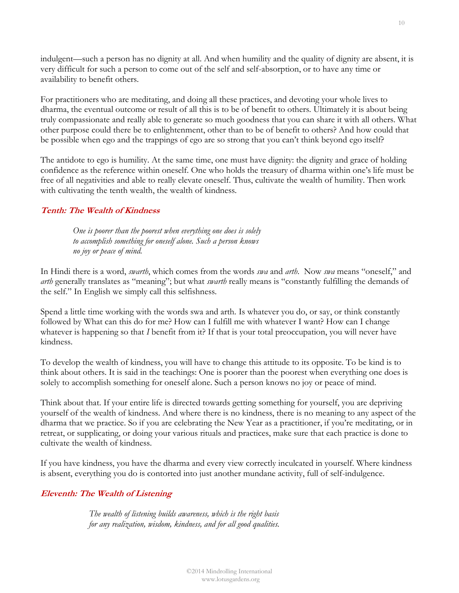indulgent—such a person has no dignity at all. And when humility and the quality of dignity are absent, it is very difficult for such a person to come out of the self and self-absorption, or to have any time or availability to benefit others.

For practitioners who are meditating, and doing all these practices, and devoting your whole lives to dharma, the eventual outcome or result of all this is to be of benefit to others. Ultimately it is about being truly compassionate and really able to generate so much goodness that you can share it with all others. What other purpose could there be to enlightenment, other than to be of benefit to others? And how could that be possible when ego and the trappings of ego are so strong that you can't think beyond ego itself?

The antidote to ego is humility. At the same time, one must have dignity: the dignity and grace of holding confidence as the reference within oneself. One who holds the treasury of dharma within one's life must be free of all negativities and able to really elevate oneself. Thus, cultivate the wealth of humility. Then work with cultivating the tenth wealth, the wealth of kindness.

## **Tenth: The Wealth of Kindness**

*One is poorer than the poorest when everything one does is solely to accomplish something for oneself alone. Such a person knows no joy or peace of mind.*

In Hindi there is a word, *swarth*, which comes from the words *swa* and *arth*. Now *swa* means "oneself," and *arth* generally translates as "meaning"; but what *swarth* really means is "constantly fulfilling the demands of the self." In English we simply call this selfishness.

Spend a little time working with the words swa and arth. Is whatever you do, or say, or think constantly followed by What can this do for me? How can I fulfill me with whatever I want? How can I change whatever is happening so that *I* benefit from it? If that is your total preoccupation, you will never have kindness.

To develop the wealth of kindness, you will have to change this attitude to its opposite. To be kind is to think about others. It is said in the teachings: One is poorer than the poorest when everything one does is solely to accomplish something for oneself alone. Such a person knows no joy or peace of mind.

Think about that. If your entire life is directed towards getting something for yourself, you are depriving yourself of the wealth of kindness. And where there is no kindness, there is no meaning to any aspect of the dharma that we practice. So if you are celebrating the New Year as a practitioner, if you're meditating, or in retreat, or supplicating, or doing your various rituals and practices, make sure that each practice is done to cultivate the wealth of kindness.

If you have kindness, you have the dharma and every view correctly inculcated in yourself. Where kindness is absent, everything you do is contorted into just another mundane activity, full of self-indulgence.

#### **Eleventh: The Wealth of Listening**

*The wealth of listening builds awareness, which is the right basis for any realization, wisdom, kindness, and for all good qualities.*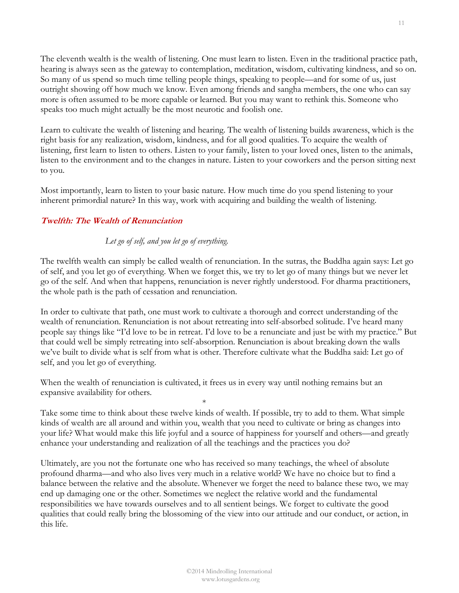The eleventh wealth is the wealth of listening. One must learn to listen. Even in the traditional practice path, hearing is always seen as the gateway to contemplation, meditation, wisdom, cultivating kindness, and so on. So many of us spend so much time telling people things, speaking to people—and for some of us, just outright showing off how much we know. Even among friends and sangha members, the one who can say more is often assumed to be more capable or learned. But you may want to rethink this. Someone who speaks too much might actually be the most neurotic and foolish one.

Learn to cultivate the wealth of listening and hearing. The wealth of listening builds awareness, which is the right basis for any realization, wisdom, kindness, and for all good qualities. To acquire the wealth of listening, first learn to listen to others. Listen to your family, listen to your loved ones, listen to the animals, listen to the environment and to the changes in nature. Listen to your coworkers and the person sitting next to you.

Most importantly, learn to listen to your basic nature. How much time do you spend listening to your inherent primordial nature? In this way, work with acquiring and building the wealth of listening.

## **Twelfth: The Wealth of Renunciation**

## *Let go of self, and you let go of everything.*

The twelfth wealth can simply be called wealth of renunciation. In the sutras, the Buddha again says: Let go of self, and you let go of everything. When we forget this, we try to let go of many things but we never let go of the self. And when that happens, renunciation is never rightly understood. For dharma practitioners, the whole path is the path of cessation and renunciation.

In order to cultivate that path, one must work to cultivate a thorough and correct understanding of the wealth of renunciation. Renunciation is not about retreating into self-absorbed solitude. I've heard many people say things like "I'd love to be in retreat. I'd love to be a renunciate and just be with my practice." But that could well be simply retreating into self-absorption. Renunciation is about breaking down the walls we've built to divide what is self from what is other. Therefore cultivate what the Buddha said: Let go of self, and you let go of everything.

When the wealth of renunciation is cultivated, it frees us in every way until nothing remains but an expansive availability for others.

\*

Take some time to think about these twelve kinds of wealth. If possible, try to add to them. What simple kinds of wealth are all around and within you, wealth that you need to cultivate or bring as changes into your life? What would make this life joyful and a source of happiness for yourself and others—and greatly enhance your understanding and realization of all the teachings and the practices you do?

Ultimately, are you not the fortunate one who has received so many teachings, the wheel of absolute profound dharma—and who also lives very much in a relative world? We have no choice but to find a balance between the relative and the absolute. Whenever we forget the need to balance these two, we may end up damaging one or the other. Sometimes we neglect the relative world and the fundamental responsibilities we have towards ourselves and to all sentient beings. We forget to cultivate the good qualities that could really bring the blossoming of the view into our attitude and our conduct, or action, in this life.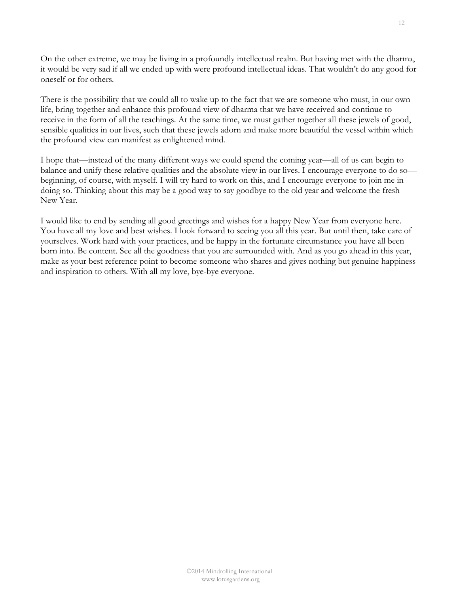On the other extreme, we may be living in a profoundly intellectual realm. But having met with the dharma, it would be very sad if all we ended up with were profound intellectual ideas. That wouldn't do any good for oneself or for others.

There is the possibility that we could all to wake up to the fact that we are someone who must, in our own life, bring together and enhance this profound view of dharma that we have received and continue to receive in the form of all the teachings. At the same time, we must gather together all these jewels of good, sensible qualities in our lives, such that these jewels adorn and make more beautiful the vessel within which the profound view can manifest as enlightened mind.

I hope that—instead of the many different ways we could spend the coming year—all of us can begin to balance and unify these relative qualities and the absolute view in our lives. I encourage everyone to do so beginning, of course, with myself. I will try hard to work on this, and I encourage everyone to join me in doing so. Thinking about this may be a good way to say goodbye to the old year and welcome the fresh New Year.

I would like to end by sending all good greetings and wishes for a happy New Year from everyone here. You have all my love and best wishes. I look forward to seeing you all this year. But until then, take care of yourselves. Work hard with your practices, and be happy in the fortunate circumstance you have all been born into. Be content. See all the goodness that you are surrounded with. And as you go ahead in this year, make as your best reference point to become someone who shares and gives nothing but genuine happiness and inspiration to others. With all my love, bye-bye everyone.